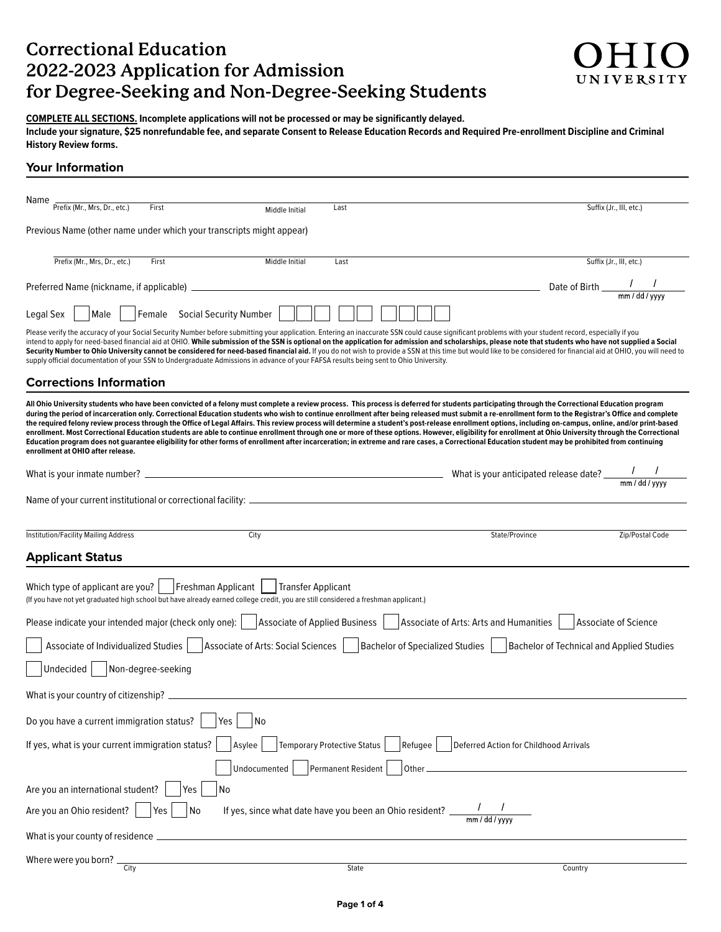# **Correctional Education 2022-2023 Application for Admission for Degree-Seeking and Non-Degree-Seeking Students**

**COMPLETE ALL SECTIONS. Incomplete applications will not be processed or may be signifcantly delayed.** 

**Include your signature, \$25 nonrefundable fee, and separate Consent to Release Education Records and Required Pre-enrollment Discipline and Criminal History Review forms.** 

### **Your Information**

| Name<br>Prefix (Mr., Mrs, Dr., etc.)<br>First                                                                                                                                                                                                                                                                                                                                                                                                                                                                                                                                                                                                                                                                                                                                                                                                                                                                                                                                                                                                                           | Middle Initial                                            | Last                               |         |                                        |                                                         | Suffix (Jr., III, etc.)                          |
|-------------------------------------------------------------------------------------------------------------------------------------------------------------------------------------------------------------------------------------------------------------------------------------------------------------------------------------------------------------------------------------------------------------------------------------------------------------------------------------------------------------------------------------------------------------------------------------------------------------------------------------------------------------------------------------------------------------------------------------------------------------------------------------------------------------------------------------------------------------------------------------------------------------------------------------------------------------------------------------------------------------------------------------------------------------------------|-----------------------------------------------------------|------------------------------------|---------|----------------------------------------|---------------------------------------------------------|--------------------------------------------------|
|                                                                                                                                                                                                                                                                                                                                                                                                                                                                                                                                                                                                                                                                                                                                                                                                                                                                                                                                                                                                                                                                         |                                                           |                                    |         |                                        |                                                         |                                                  |
| Previous Name (other name under which your transcripts might appear)                                                                                                                                                                                                                                                                                                                                                                                                                                                                                                                                                                                                                                                                                                                                                                                                                                                                                                                                                                                                    |                                                           |                                    |         |                                        |                                                         |                                                  |
| Prefix (Mr., Mrs, Dr., etc.)<br>First                                                                                                                                                                                                                                                                                                                                                                                                                                                                                                                                                                                                                                                                                                                                                                                                                                                                                                                                                                                                                                   | Middle Initial                                            | Last                               |         |                                        |                                                         | Suffix (Jr., III, etc.)                          |
|                                                                                                                                                                                                                                                                                                                                                                                                                                                                                                                                                                                                                                                                                                                                                                                                                                                                                                                                                                                                                                                                         |                                                           |                                    |         |                                        | Date of Birth $\frac{1}{\frac{1}{2} \cdot \frac{1}{2}}$ |                                                  |
| Female Social Security Number<br>Legal Sex<br>Male                                                                                                                                                                                                                                                                                                                                                                                                                                                                                                                                                                                                                                                                                                                                                                                                                                                                                                                                                                                                                      |                                                           |                                    |         |                                        |                                                         |                                                  |
| Please verify the accuracy of your Social Security Number before submitting your application. Entering an inaccurate SSN could cause significant problems with your student record, especially if you<br>intend to apply for need-based financial aid at OHIO. While submission of the SSN is optional on the application for admission and scholarships, please note that students who have not supplied a Social<br>Security Number to Ohio University cannot be considered for need-based financial aid. If you do not wish to provide a SSN at this time but would like to be considered for financial aid at OHIO, you will need to<br>supply official documentation of your SSN to Undergraduate Admissions in advance of your FAFSA results being sent to Ohio University.                                                                                                                                                                                                                                                                                       |                                                           |                                    |         |                                        |                                                         |                                                  |
| <b>Corrections Information</b>                                                                                                                                                                                                                                                                                                                                                                                                                                                                                                                                                                                                                                                                                                                                                                                                                                                                                                                                                                                                                                          |                                                           |                                    |         |                                        |                                                         |                                                  |
| All Ohio University students who have been convicted of a felony must complete a review process. This process is deferred for students participating through the Correctional Education program<br>during the period of incarceration only. Correctional Education students who wish to continue enrollment after being released must submit a re-enrollment form to the Registrar's Office and complete<br>the required felony review process through the Office of Legal Affairs. This review process will determine a student's post-release enrollment options, including on-campus, online, and/or print-based<br>enrollment. Most Correctional Education students are able to continue enrollment through one or more of these options. However, eligibility for enrollment at Ohio University through the Correctional<br>Education program does not guarantee eligibility for other forms of enrollment after incarceration; in extreme and rare cases, a Correctional Education student may be prohibited from continuing<br>enrollment at OHIO after release. |                                                           |                                    |         |                                        |                                                         |                                                  |
|                                                                                                                                                                                                                                                                                                                                                                                                                                                                                                                                                                                                                                                                                                                                                                                                                                                                                                                                                                                                                                                                         |                                                           |                                    |         |                                        |                                                         |                                                  |
|                                                                                                                                                                                                                                                                                                                                                                                                                                                                                                                                                                                                                                                                                                                                                                                                                                                                                                                                                                                                                                                                         |                                                           |                                    |         |                                        |                                                         |                                                  |
| Institution/Facility Mailing Address                                                                                                                                                                                                                                                                                                                                                                                                                                                                                                                                                                                                                                                                                                                                                                                                                                                                                                                                                                                                                                    | City                                                      |                                    |         | State/Province                         |                                                         | Zip/Postal Code                                  |
| <b>Applicant Status</b>                                                                                                                                                                                                                                                                                                                                                                                                                                                                                                                                                                                                                                                                                                                                                                                                                                                                                                                                                                                                                                                 |                                                           |                                    |         |                                        |                                                         |                                                  |
| Which type of applicant are you?<br>(If you have not yet graduated high school but have already earned college credit, you are still considered a freshman applicant.)                                                                                                                                                                                                                                                                                                                                                                                                                                                                                                                                                                                                                                                                                                                                                                                                                                                                                                  | Freshman Applicant     Transfer Applicant                 |                                    |         |                                        |                                                         |                                                  |
| Please indicate your intended major (check only one):                                                                                                                                                                                                                                                                                                                                                                                                                                                                                                                                                                                                                                                                                                                                                                                                                                                                                                                                                                                                                   | Associate of Applied Business                             |                                    |         | Associate of Arts: Arts and Humanities |                                                         | Associate of Science                             |
| Associate of Individualized Studies   Associate of Arts: Social Sciences   Bachelor of Specialized Studies                                                                                                                                                                                                                                                                                                                                                                                                                                                                                                                                                                                                                                                                                                                                                                                                                                                                                                                                                              |                                                           |                                    |         |                                        |                                                         | <b>Bachelor of Technical and Applied Studies</b> |
| Non-degree-seeking<br>Undecided                                                                                                                                                                                                                                                                                                                                                                                                                                                                                                                                                                                                                                                                                                                                                                                                                                                                                                                                                                                                                                         |                                                           |                                    |         |                                        |                                                         |                                                  |
|                                                                                                                                                                                                                                                                                                                                                                                                                                                                                                                                                                                                                                                                                                                                                                                                                                                                                                                                                                                                                                                                         |                                                           |                                    |         |                                        |                                                         |                                                  |
| $\Box$<br>Do you have a current immigration status?<br>Yes                                                                                                                                                                                                                                                                                                                                                                                                                                                                                                                                                                                                                                                                                                                                                                                                                                                                                                                                                                                                              | No                                                        |                                    |         |                                        |                                                         |                                                  |
| If yes, what is your current immigration status?                                                                                                                                                                                                                                                                                                                                                                                                                                                                                                                                                                                                                                                                                                                                                                                                                                                                                                                                                                                                                        | Asylee                                                    | <b>Temporary Protective Status</b> | Refugee | Deferred Action for Childhood Arrivals |                                                         |                                                  |
|                                                                                                                                                                                                                                                                                                                                                                                                                                                                                                                                                                                                                                                                                                                                                                                                                                                                                                                                                                                                                                                                         | Undocumented                                              | Permanent Resident                 | Other_  |                                        |                                                         |                                                  |
| Are you an international student?<br>Yes<br>No                                                                                                                                                                                                                                                                                                                                                                                                                                                                                                                                                                                                                                                                                                                                                                                                                                                                                                                                                                                                                          |                                                           |                                    |         |                                        |                                                         |                                                  |
| Are you an Ohio resident?<br>No<br>l Yes                                                                                                                                                                                                                                                                                                                                                                                                                                                                                                                                                                                                                                                                                                                                                                                                                                                                                                                                                                                                                                | If yes, since what date have you been an Ohio resident? _ |                                    |         |                                        |                                                         |                                                  |
| What is your county of residence _                                                                                                                                                                                                                                                                                                                                                                                                                                                                                                                                                                                                                                                                                                                                                                                                                                                                                                                                                                                                                                      |                                                           |                                    |         |                                        |                                                         |                                                  |
| Where were you born? .                                                                                                                                                                                                                                                                                                                                                                                                                                                                                                                                                                                                                                                                                                                                                                                                                                                                                                                                                                                                                                                  |                                                           |                                    |         |                                        |                                                         |                                                  |
| City                                                                                                                                                                                                                                                                                                                                                                                                                                                                                                                                                                                                                                                                                                                                                                                                                                                                                                                                                                                                                                                                    |                                                           | <b>State</b>                       |         |                                        | Country                                                 |                                                  |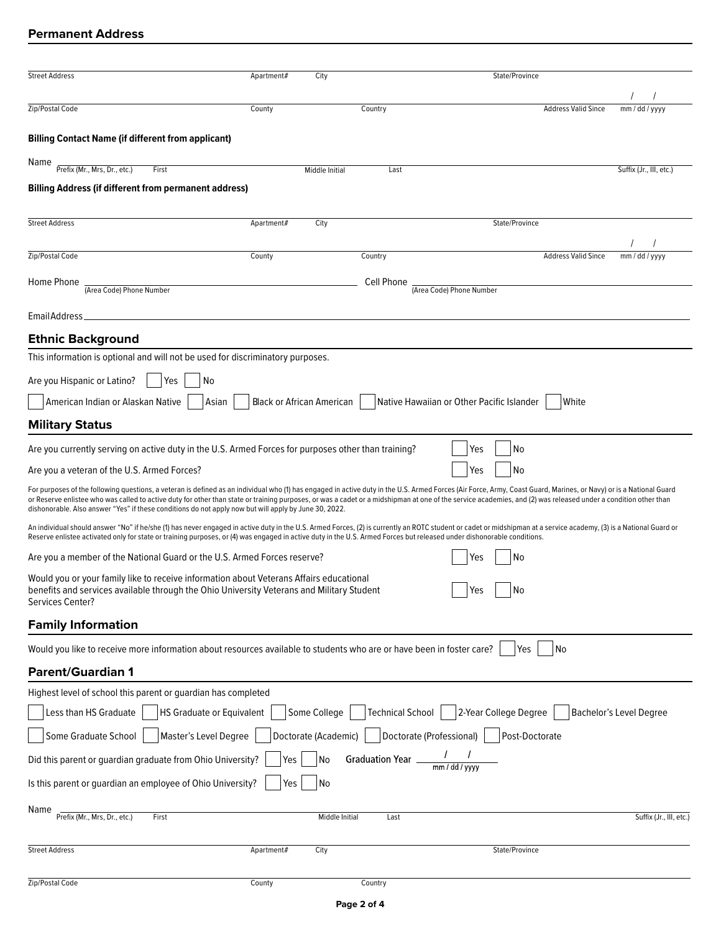## **Permanent Address**

| <b>Street Address</b>                                                                                                                                                                                                                                                                                                                                                                                                                                                                                                                         | Apartment#                       | City                 |                   |                                           | State/Province                                                                                                                         |                            |                         |
|-----------------------------------------------------------------------------------------------------------------------------------------------------------------------------------------------------------------------------------------------------------------------------------------------------------------------------------------------------------------------------------------------------------------------------------------------------------------------------------------------------------------------------------------------|----------------------------------|----------------------|-------------------|-------------------------------------------|----------------------------------------------------------------------------------------------------------------------------------------|----------------------------|-------------------------|
|                                                                                                                                                                                                                                                                                                                                                                                                                                                                                                                                               |                                  |                      |                   |                                           |                                                                                                                                        |                            |                         |
| Zip/Postal Code                                                                                                                                                                                                                                                                                                                                                                                                                                                                                                                               | County                           |                      | Country           |                                           |                                                                                                                                        | <b>Address Valid Since</b> | mm / dd / yyyy          |
| <b>Billing Contact Name (if different from applicant)</b>                                                                                                                                                                                                                                                                                                                                                                                                                                                                                     |                                  |                      |                   |                                           |                                                                                                                                        |                            |                         |
| Name<br>Prefix (Mr., Mrs, Dr., etc.)<br>First                                                                                                                                                                                                                                                                                                                                                                                                                                                                                                 |                                  | Middle Initial       | Last              |                                           |                                                                                                                                        |                            | Suffix (Jr., III, etc.) |
| <b>Billing Address (if different from permanent address)</b>                                                                                                                                                                                                                                                                                                                                                                                                                                                                                  |                                  |                      |                   |                                           |                                                                                                                                        |                            |                         |
| <b>Street Address</b>                                                                                                                                                                                                                                                                                                                                                                                                                                                                                                                         | Apartment#                       | City                 |                   |                                           | State/Province                                                                                                                         |                            |                         |
|                                                                                                                                                                                                                                                                                                                                                                                                                                                                                                                                               |                                  |                      |                   |                                           |                                                                                                                                        |                            |                         |
| Zip/Postal Code                                                                                                                                                                                                                                                                                                                                                                                                                                                                                                                               | County                           |                      | Country           |                                           |                                                                                                                                        | <b>Address Valid Since</b> | mm / dd / yyyy          |
| Home Phone<br>(Area Code) Phone Number                                                                                                                                                                                                                                                                                                                                                                                                                                                                                                        |                                  |                      | Cell Phone        | (Area Code) Phone Number                  |                                                                                                                                        |                            |                         |
|                                                                                                                                                                                                                                                                                                                                                                                                                                                                                                                                               |                                  |                      |                   |                                           |                                                                                                                                        |                            |                         |
| <b>Email Address</b>                                                                                                                                                                                                                                                                                                                                                                                                                                                                                                                          |                                  |                      |                   |                                           |                                                                                                                                        |                            |                         |
| <b>Ethnic Background</b>                                                                                                                                                                                                                                                                                                                                                                                                                                                                                                                      |                                  |                      |                   |                                           |                                                                                                                                        |                            |                         |
| This information is optional and will not be used for discriminatory purposes.                                                                                                                                                                                                                                                                                                                                                                                                                                                                |                                  |                      |                   |                                           |                                                                                                                                        |                            |                         |
| Are you Hispanic or Latino?<br>Yes<br>No                                                                                                                                                                                                                                                                                                                                                                                                                                                                                                      |                                  |                      |                   |                                           |                                                                                                                                        |                            |                         |
| American Indian or Alaskan Native<br>Asian                                                                                                                                                                                                                                                                                                                                                                                                                                                                                                    | <b>Black or African American</b> |                      |                   | Native Hawaiian or Other Pacific Islander |                                                                                                                                        | White                      |                         |
| <b>Military Status</b>                                                                                                                                                                                                                                                                                                                                                                                                                                                                                                                        |                                  |                      |                   |                                           |                                                                                                                                        |                            |                         |
| Are you currently serving on active duty in the U.S. Armed Forces for purposes other than training?                                                                                                                                                                                                                                                                                                                                                                                                                                           |                                  |                      |                   | Yes                                       | No                                                                                                                                     |                            |                         |
| Are you a veteran of the U.S. Armed Forces?                                                                                                                                                                                                                                                                                                                                                                                                                                                                                                   |                                  |                      |                   | Yes                                       | No                                                                                                                                     |                            |                         |
| For purposes of the following questions, a veteran is defined as an individual who (1) has engaged in active duty in the U.S. Armed Forces (Air Force, Army, Coast Guard, Marines, or Navy) or is a National Guard<br>or Reserve enlistee who was called to active duty for other than state or training purposes, or was a cadet or a midshipman at one of the service academies, and (2) was released under a condition other than<br>dishonorable. Also answer "Yes" if these conditions do not apply now but will apply by June 30, 2022. |                                  |                      |                   |                                           |                                                                                                                                        |                            |                         |
| An individual should answer "No" if he/she (1) has never engaged in active duty in the U.S. Armed Forces, (2) is currently an ROTC student or cadet or midshipman at a service academy, (3) is a National Guard or<br>Reserve enlistee activated only for state or training purposes, or (4) was engaged in active duty in the U.S. Armed Forces but released under dishonorable conditions.                                                                                                                                                  |                                  |                      |                   |                                           |                                                                                                                                        |                            |                         |
| Are you a member of the National Guard or the U.S. Armed Forces reserve?                                                                                                                                                                                                                                                                                                                                                                                                                                                                      |                                  |                      |                   | Yes                                       | No                                                                                                                                     |                            |                         |
| Would you or your family like to receive information about Veterans Affairs educational<br>benefits and services available through the Ohio University Veterans and Military Student<br>Services Center?                                                                                                                                                                                                                                                                                                                                      |                                  |                      |                   | Yes                                       | $\overline{\phantom{a}}\,$ $\overline{\phantom{a}}\,$ $\overline{\phantom{a}}\,$ $\overline{\phantom{a}}\,$ $\overline{\phantom{a}}\,$ |                            |                         |
| <b>Family Information</b>                                                                                                                                                                                                                                                                                                                                                                                                                                                                                                                     |                                  |                      |                   |                                           |                                                                                                                                        |                            |                         |
| Would you like to receive more information about resources available to students who are or have been in foster care?                                                                                                                                                                                                                                                                                                                                                                                                                         |                                  |                      |                   |                                           | <b>Yes</b>                                                                                                                             | No                         |                         |
| <b>Parent/Guardian 1</b>                                                                                                                                                                                                                                                                                                                                                                                                                                                                                                                      |                                  |                      |                   |                                           |                                                                                                                                        |                            |                         |
| Highest level of school this parent or guardian has completed                                                                                                                                                                                                                                                                                                                                                                                                                                                                                 |                                  |                      |                   |                                           |                                                                                                                                        |                            |                         |
| Less than HS Graduate<br>HS Graduate or Equivalent                                                                                                                                                                                                                                                                                                                                                                                                                                                                                            |                                  | Some College         | Technical School  |                                           | 2-Year College Degree                                                                                                                  |                            | Bachelor's Level Degree |
| Master's Level Degree<br>Some Graduate School                                                                                                                                                                                                                                                                                                                                                                                                                                                                                                 |                                  | Doctorate (Academic) |                   | Doctorate (Professional)                  | Post-Doctorate                                                                                                                         |                            |                         |
| Did this parent or guardian graduate from Ohio University?                                                                                                                                                                                                                                                                                                                                                                                                                                                                                    | Yes                              | No                   | Graduation Year _ |                                           |                                                                                                                                        |                            |                         |
| Is this parent or guardian an employee of Ohio University?                                                                                                                                                                                                                                                                                                                                                                                                                                                                                    | Yes                              | No                   |                   |                                           |                                                                                                                                        |                            |                         |
| Name<br>Prefix (Mr., Mrs, Dr., etc.)<br>First                                                                                                                                                                                                                                                                                                                                                                                                                                                                                                 |                                  | Middle Initial       | Last              |                                           |                                                                                                                                        |                            | Suffix (Jr., III, etc.) |
| <b>Street Address</b>                                                                                                                                                                                                                                                                                                                                                                                                                                                                                                                         | Apartment#                       | City                 |                   |                                           | State/Province                                                                                                                         |                            |                         |
|                                                                                                                                                                                                                                                                                                                                                                                                                                                                                                                                               |                                  |                      |                   |                                           |                                                                                                                                        |                            |                         |
| Zip/Postal Code                                                                                                                                                                                                                                                                                                                                                                                                                                                                                                                               | County                           |                      | Country           |                                           |                                                                                                                                        |                            |                         |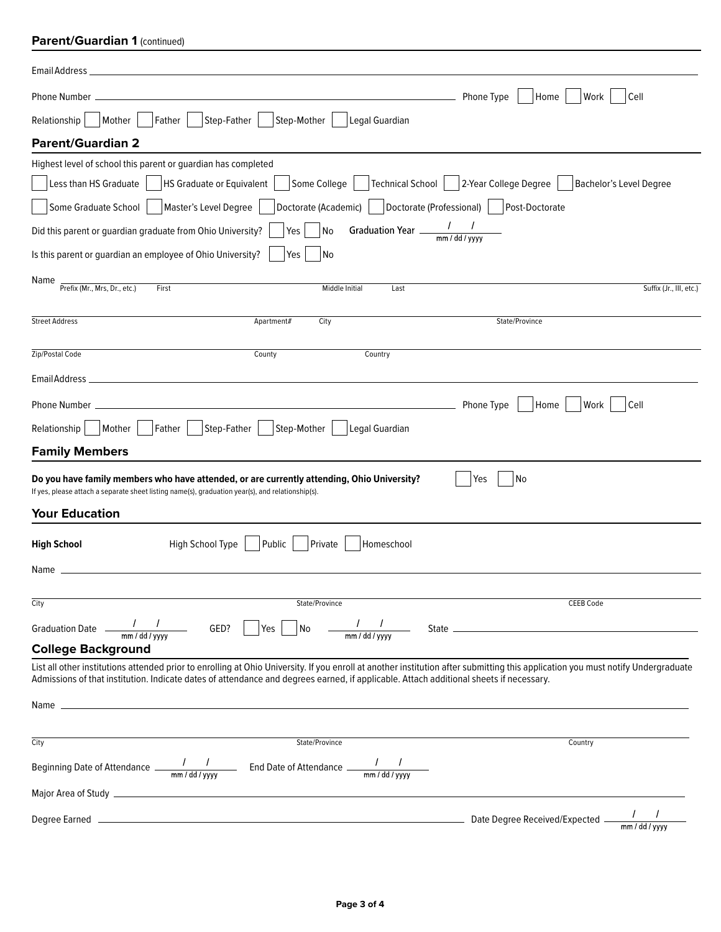# **Parent/Guardian 1 (continued)**

| Email Address_                                                                                                                                                                                                                                                                                                             |                                                  |
|----------------------------------------------------------------------------------------------------------------------------------------------------------------------------------------------------------------------------------------------------------------------------------------------------------------------------|--------------------------------------------------|
| Phone Type<br>Phone Number.                                                                                                                                                                                                                                                                                                | Home<br>Work<br>Cell                             |
| Step-Mother<br>Mother<br>Father<br>Step-Father<br>Legal Guardian<br>Relationship                                                                                                                                                                                                                                           |                                                  |
| <b>Parent/Guardian 2</b>                                                                                                                                                                                                                                                                                                   |                                                  |
| Highest level of school this parent or guardian has completed                                                                                                                                                                                                                                                              |                                                  |
| Technical School<br>Less than HS Graduate<br>HS Graduate or Equivalent<br>Some College                                                                                                                                                                                                                                     | 2-Year College Degree<br>Bachelor's Level Degree |
| Some Graduate School  <br>Master's Level Degree<br>Doctorate (Academic)   Doctorate (Professional)                                                                                                                                                                                                                         | Post-Doctorate                                   |
| Graduation Year $\frac{1}{\text{mm}/\text{dd}/\text{vvvv}}$<br>No<br>Did this parent or guardian graduate from Ohio University?<br>Yes                                                                                                                                                                                     |                                                  |
| Is this parent or guardian an employee of Ohio University?<br>Yes<br>No                                                                                                                                                                                                                                                    |                                                  |
| Name<br>Prefix (Mr., Mrs, Dr., etc.)<br>First<br>Middle Initial<br>Last                                                                                                                                                                                                                                                    | Suffix (Jr., III, etc.)                          |
| <b>Street Address</b><br>City<br>Apartment#                                                                                                                                                                                                                                                                                | State/Province                                   |
| Zip/Postal Code<br>County<br>Country                                                                                                                                                                                                                                                                                       |                                                  |
| Email Address_<br>the control of the control of the control of the control of the control of the control of                                                                                                                                                                                                                |                                                  |
| Phone Type<br>Phone Number __                                                                                                                                                                                                                                                                                              | Home<br>Work<br>Cell                             |
| Step-Mother<br>Legal Guardian<br>Mother<br>Father<br>Step-Father<br>Relationship                                                                                                                                                                                                                                           |                                                  |
| <b>Family Members</b>                                                                                                                                                                                                                                                                                                      |                                                  |
| Do you have family members who have attended, or are currently attending, Ohio University?<br>Yes<br>If yes, please attach a separate sheet listing name(s), graduation year(s), and relationship(s).                                                                                                                      | No                                               |
| <b>Your Education</b>                                                                                                                                                                                                                                                                                                      |                                                  |
| High School Type<br>Public<br><b>High School</b><br>Private<br>Homeschool                                                                                                                                                                                                                                                  |                                                  |
| Name                                                                                                                                                                                                                                                                                                                       |                                                  |
| City<br>State/Province                                                                                                                                                                                                                                                                                                     | <b>CEEB Code</b>                                 |
| Graduation Date $\frac{1}{\text{mm}/\text{dd}/\text{vvvv}}$ GED? Yes No $\frac{1}{\text{mm}/\text{dd}/\text{vvvv}}$ State $\frac{1}{\text{cm}/\text{dd}/\text{vvvv}}$                                                                                                                                                      |                                                  |
| <b>College Background</b>                                                                                                                                                                                                                                                                                                  |                                                  |
| List all other institutions attended prior to enrolling at Ohio University. If you enroll at another institution after submitting this application you must notify Undergraduate<br>Admissions of that institution. Indicate dates of attendance and degrees earned, if applicable. Attach additional sheets if necessary. |                                                  |
|                                                                                                                                                                                                                                                                                                                            |                                                  |
| City<br>State/Province                                                                                                                                                                                                                                                                                                     | Country                                          |
| Beginning Date of Attendance $\frac{1}{\text{mm}/\text{dd}/\text{yyy}}$ End Date of Attendance $\frac{1}{\text{mm}/\text{dd}/\text{yyy}}$                                                                                                                                                                                  |                                                  |
|                                                                                                                                                                                                                                                                                                                            |                                                  |
|                                                                                                                                                                                                                                                                                                                            | $mm$ / dd / yyyy                                 |